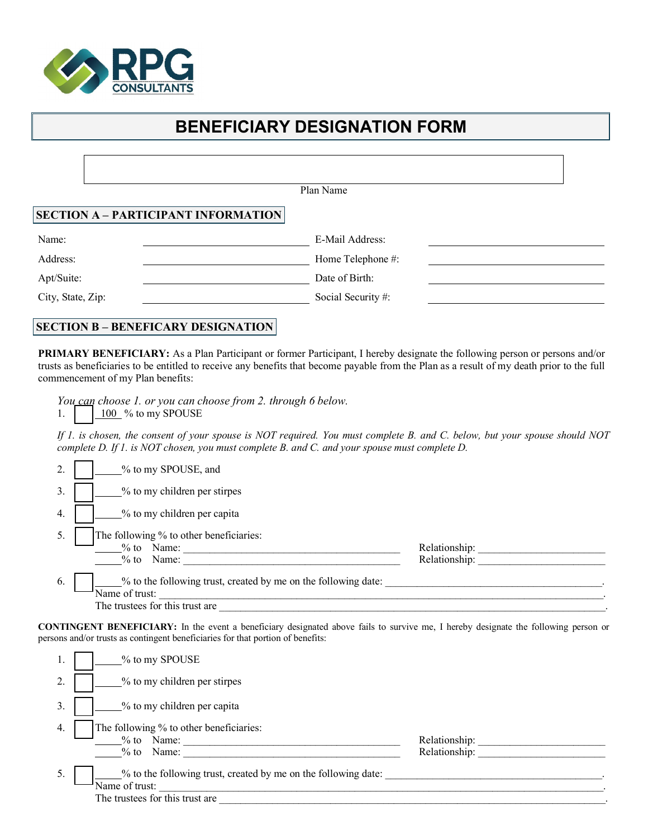

## **BENEFICIARY DESIGNATION FORM**

|                   | Plan Name                                  |  |
|-------------------|--------------------------------------------|--|
|                   | <b>SECTION A - PARTICIPANT INFORMATION</b> |  |
| Name:             | E-Mail Address:                            |  |
| Address:          | Home Telephone #:                          |  |
| Apt/Suite:        | Date of Birth:                             |  |
| City, State, Zip: | Social Security#:                          |  |

## **SECTION B – BENEFICARY DESIGNATION**

**PRIMARY BENEFICIARY:** As a Plan Participant or former Participant, I hereby designate the following person or persons and/or trusts as beneficiaries to be entitled to receive any benefits that become payable from the Plan as a result of my death prior to the full commencement of my Plan benefits:

*You can choose 1. or you can choose from 2. through 6 below.*

1.  $\boxed{100}$  % to my SPOUSE

*If 1. is chosen, the consent of your spouse is NOT required. You must complete B. and C. below, but your spouse should NOT complete D. If 1. is NOT chosen, you must complete B. and C. and your spouse must complete D.*

| 2. | % to my SPOUSE, and                                                                                                 |                                |
|----|---------------------------------------------------------------------------------------------------------------------|--------------------------------|
| 3. | % to my children per stirpes                                                                                        |                                |
| 4. | % to my children per capita                                                                                         |                                |
| 5. | The following % to other beneficiaries:<br>$%$ to Name:<br>$\%$ to<br>Name:                                         | Relationship:<br>Relationship: |
| 6. | % to the following trust, created by me on the following date:<br>Name of trust:<br>The trustees for this trust are |                                |

**CONTINGENT BENEFICIARY:** In the event a beneficiary designated above fails to survive me, I hereby designate the following person or persons and/or trusts as contingent beneficiaries for that portion of benefits:

| 1. | % to my SPOUSE                                                                                                      |                                |
|----|---------------------------------------------------------------------------------------------------------------------|--------------------------------|
| 2. | % to my children per stirpes                                                                                        |                                |
| 3. | % to my children per capita                                                                                         |                                |
| 4. | The following % to other beneficiaries:<br>Name:<br>$\%$ to<br>Name:<br>$\%$ to                                     | Relationship:<br>Relationship: |
| 5. | % to the following trust, created by me on the following date:<br>Name of trust:<br>The trustees for this trust are |                                |